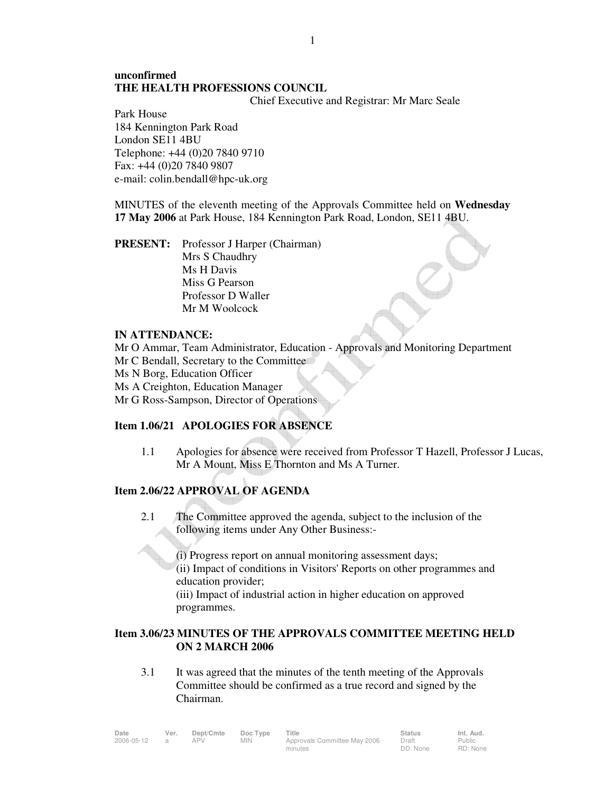# **unconfirmed THE HEALTH PROFESSIONS COUNCIL**

Chief Executive and Registrar: Mr Marc Seale

Park House 184 Kennington Park Road London SE11 4BU Telephone: +44 (0)20 7840 9710 Fax: +44 (0)20 7840 9807 e-mail: colin.bendall@hpc-uk.org

MINUTES of the eleventh meeting of the Approvals Committee held on **Wednesday 17 May 2006** at Park House, 184 Kennington Park Road, London, SE11 4BU.

**PRESENT:** Professor J Harper (Chairman) Mrs S Chaudhry Ms H Davis Miss G Pearson Professor D Waller Mr M Woolcock

### **IN ATTENDANCE:**

Mr O Ammar, Team Administrator, Education - Approvals and Monitoring Department Mr C Bendall, Secretary to the Committee Ms N Borg, Education Officer Ms A Creighton, Education Manager Mr G Ross-Sampson, Director of Operations

# **Item 1.06/21 APOLOGIES FOR ABSENCE**

1.1 Apologies for absence were received from Professor T Hazell, Professor J Lucas, Mr A Mount, Miss E Thornton and Ms A Turner.

# **Item 2.06/22 APPROVAL OF AGENDA**

 2.1 The Committee approved the agenda, subject to the inclusion of the following items under Any Other Business:-

> (i) Progress report on annual monitoring assessment days; (ii) Impact of conditions in Visitors' Reports on other programmes and education provider;

 (iii) Impact of industrial action in higher education on approved programmes.

# **Item 3.06/23 MINUTES OF THE APPROVALS COMMITTEE MEETING HELD ON 2 MARCH 2006**

 3.1 It was agreed that the minutes of the tenth meeting of the Approvals Committee should be confirmed as a true record and signed by the Chairman.

| Date       | Ver. | Dept/Cmte | Doc Type   | Title                        | <b>Status</b> | Int. Aud. |
|------------|------|-----------|------------|------------------------------|---------------|-----------|
| 2006-05-12 |      | APV       | <b>MIN</b> | Approvals Committee May 2006 | Draft         | Public    |
|            |      |           |            | minutes                      | DD: None      | RD: None  |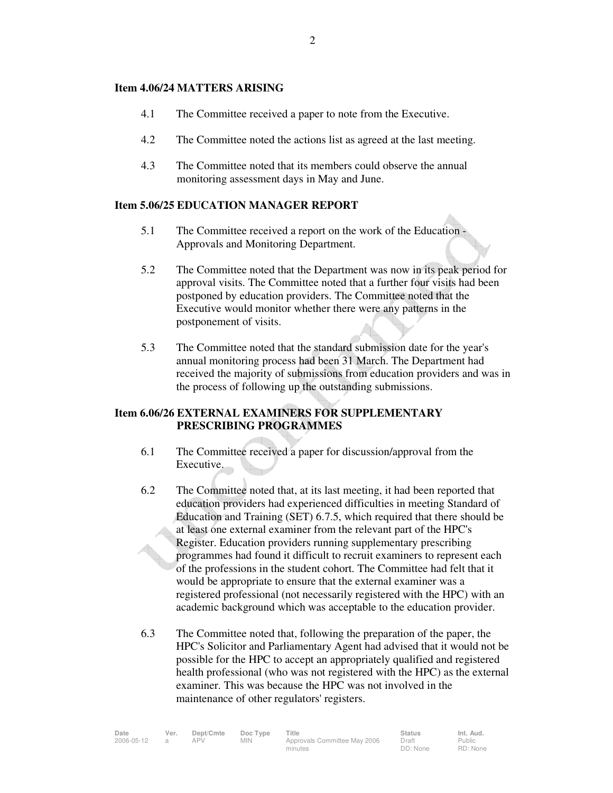#### **Item 4.06/24 MATTERS ARISING**

- 4.1 The Committee received a paper to note from the Executive.
- 4.2 The Committee noted the actions list as agreed at the last meeting.
- 4.3 The Committee noted that its members could observe the annual monitoring assessment days in May and June.

#### **Item 5.06/25 EDUCATION MANAGER REPORT**

- 5.1 The Committee received a report on the work of the Education Approvals and Monitoring Department.
- 5.2 The Committee noted that the Department was now in its peak period for approval visits. The Committee noted that a further four visits had been postponed by education providers. The Committee noted that the Executive would monitor whether there were any patterns in the postponement of visits.
- 5.3 The Committee noted that the standard submission date for the year's annual monitoring process had been 31 March. The Department had received the majority of submissions from education providers and was in the process of following up the outstanding submissions.

### **Item 6.06/26 EXTERNAL EXAMINERS FOR SUPPLEMENTARY PRESCRIBING PROGRAMMES**

- 6.1 The Committee received a paper for discussion/approval from the Executive.
- 6.2 The Committee noted that, at its last meeting, it had been reported that education providers had experienced difficulties in meeting Standard of Education and Training (SET) 6.7.5, which required that there should be at least one external examiner from the relevant part of the HPC's Register. Education providers running supplementary prescribing programmes had found it difficult to recruit examiners to represent each of the professions in the student cohort. The Committee had felt that it would be appropriate to ensure that the external examiner was a registered professional (not necessarily registered with the HPC) with an academic background which was acceptable to the education provider.
- 6.3 The Committee noted that, following the preparation of the paper, the HPC's Solicitor and Parliamentary Agent had advised that it would not be possible for the HPC to accept an appropriately qualified and registered health professional (who was not registered with the HPC) as the external examiner. This was because the HPC was not involved in the maintenance of other regulators' registers.

| Date       | Ver. | Dept/Cmte | Doc Type | Title                        | <b>Status</b> | Int. Aud.     |
|------------|------|-----------|----------|------------------------------|---------------|---------------|
| 2006-05-12 |      | APV       | MIN.     | Approvals Committee May 2006 | Draft         | <b>Public</b> |
|            |      |           |          | minutes                      | DD: None      | RD: None      |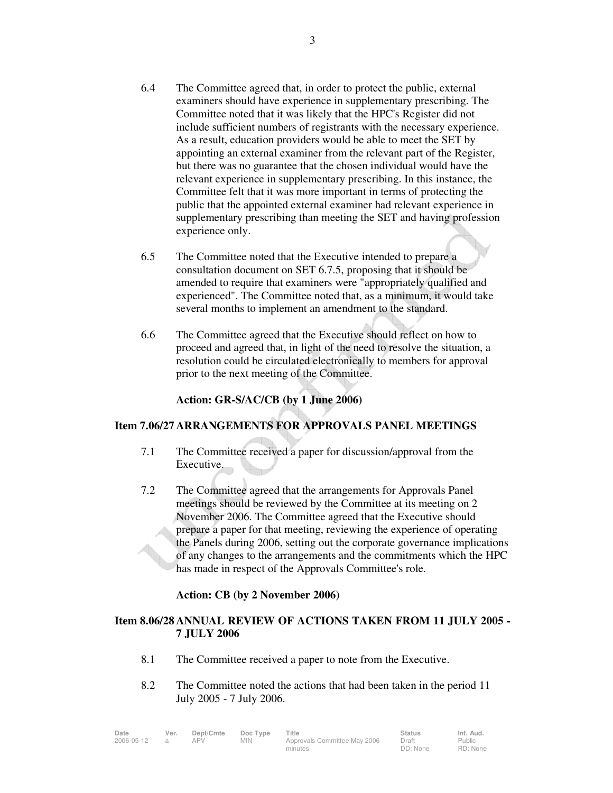- 6.4 The Committee agreed that, in order to protect the public, external examiners should have experience in supplementary prescribing. The Committee noted that it was likely that the HPC's Register did not include sufficient numbers of registrants with the necessary experience. As a result, education providers would be able to meet the SET by appointing an external examiner from the relevant part of the Register, but there was no guarantee that the chosen individual would have the relevant experience in supplementary prescribing. In this instance, the Committee felt that it was more important in terms of protecting the public that the appointed external examiner had relevant experience in supplementary prescribing than meeting the SET and having profession experience only.
- 6.5 The Committee noted that the Executive intended to prepare a consultation document on SET 6.7.5, proposing that it should be amended to require that examiners were "appropriately qualified and experienced". The Committee noted that, as a minimum, it would take several months to implement an amendment to the standard.
- 6.6 The Committee agreed that the Executive should reflect on how to proceed and agreed that, in light of the need to resolve the situation, a resolution could be circulated electronically to members for approval prior to the next meeting of the Committee.

**Action: GR-S/AC/CB (by 1 June 2006)** 

### **Item 7.06/27 ARRANGEMENTS FOR APPROVALS PANEL MEETINGS**

- 7.1 The Committee received a paper for discussion/approval from the Executive.
- 7.2 The Committee agreed that the arrangements for Approvals Panel meetings should be reviewed by the Committee at its meeting on 2 November 2006. The Committee agreed that the Executive should prepare a paper for that meeting, reviewing the experience of operating the Panels during 2006, setting out the corporate governance implications of any changes to the arrangements and the commitments which the HPC has made in respect of the Approvals Committee's role.

# **Action: CB (by 2 November 2006)**

### **Item 8.06/28 ANNUAL REVIEW OF ACTIONS TAKEN FROM 11 JULY 2005 - 7 JULY 2006**

- 8.1 The Committee received a paper to note from the Executive.
- 8.2 The Committee noted the actions that had been taken in the period 11 July 2005 - 7 July 2006.

| Date       | Ver. | Dept/Cmte | Doc Type   | Title                        | <b>Status</b> | Int. Aud.     |
|------------|------|-----------|------------|------------------------------|---------------|---------------|
| 2006-05-12 |      | APV       | <b>MIN</b> | Approvals Committee May 2006 | Draft         | <b>Public</b> |
|            |      |           |            | minutes                      | DD: None      | RD: None      |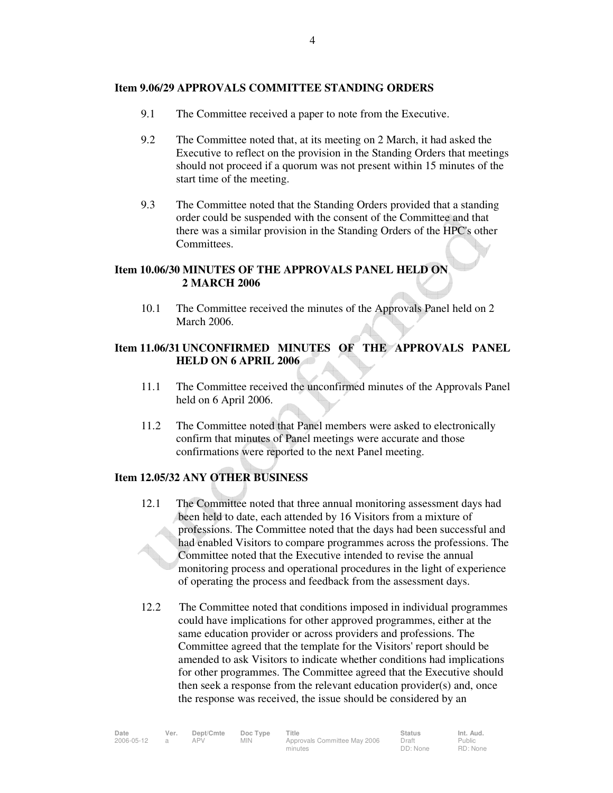#### **Item 9.06/29 APPROVALS COMMITTEE STANDING ORDERS**

- 9.1 The Committee received a paper to note from the Executive.
- 9.2 The Committee noted that, at its meeting on 2 March, it had asked the Executive to reflect on the provision in the Standing Orders that meetings should not proceed if a quorum was not present within 15 minutes of the start time of the meeting.
- 9.3 The Committee noted that the Standing Orders provided that a standing order could be suspended with the consent of the Committee and that there was a similar provision in the Standing Orders of the HPC's other Committees.

#### **Item 10.06/30 MINUTES OF THE APPROVALS PANEL HELD ON 2 MARCH 2006**

 10.1 The Committee received the minutes of the Approvals Panel held on 2 March 2006.

# **Item 11.06/31 UNCONFIRMED MINUTES OF THE APPROVALS PANEL HELD ON 6 APRIL 2006**

- 11.1 The Committee received the unconfirmed minutes of the Approvals Panel held on 6 April 2006.
- 11.2 The Committee noted that Panel members were asked to electronically confirm that minutes of Panel meetings were accurate and those confirmations were reported to the next Panel meeting.

### **Item 12.05/32 ANY OTHER BUSINESS**

- 12.1 The Committee noted that three annual monitoring assessment days had been held to date, each attended by 16 Visitors from a mixture of professions. The Committee noted that the days had been successful and had enabled Visitors to compare programmes across the professions. The Committee noted that the Executive intended to revise the annual monitoring process and operational procedures in the light of experience of operating the process and feedback from the assessment days.
- 12.2 The Committee noted that conditions imposed in individual programmes could have implications for other approved programmes, either at the same education provider or across providers and professions. The Committee agreed that the template for the Visitors' report should be amended to ask Visitors to indicate whether conditions had implications for other programmes. The Committee agreed that the Executive should then seek a response from the relevant education provider(s) and, once the response was received, the issue should be considered by an

| Date       | Ver. | Dept/Cmte | Doc Type   | Title                        | <b>Status</b> | Int. Aud.     |
|------------|------|-----------|------------|------------------------------|---------------|---------------|
| 2006-05-12 |      | APV       | <b>MIN</b> | Approvals Committee May 2006 | Draft         | <b>Public</b> |
|            |      |           |            | minutes                      | DD: None      | RD: None      |